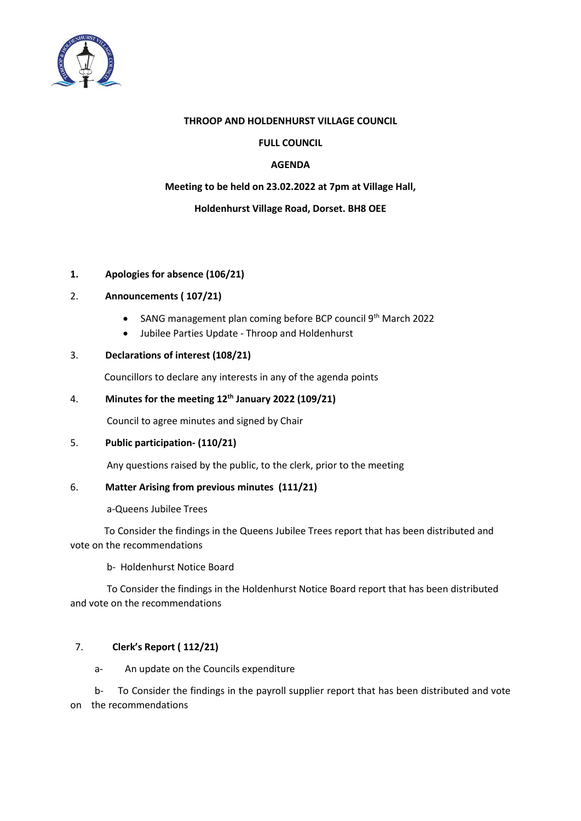

#### **THROOP AND HOLDENHURST VILLAGE COUNCIL**

### **FULL COUNCIL**

### **AGENDA**

#### **Meeting to be held on 23.02.2022 at 7pm at Village Hall,**

## **Holdenhurst Village Road, Dorset. BH8 OEE**

## **1. Apologies for absence (106/21)**

# 2. **Announcements ( 107/21)**

- SANG management plan coming before BCP council 9<sup>th</sup> March 2022
- Jubilee Parties Update Throop and Holdenhurst

## 3. **Declarations of interest (108/21)**

Councillors to declare any interests in any of the agenda points

## 4. **Minutes for the meeting 12th January 2022 (109/21)**

Council to agree minutes and signed by Chair

### 5. **Public participation- (110/21)**

Any questions raised by the public, to the clerk, prior to the meeting

#### 6. **Matter Arising from previous minutes (111/21)**

a-Queens Jubilee Trees

 To Consider the findings in the Queens Jubilee Trees report that has been distributed and vote on the recommendations

b- Holdenhurst Notice Board

 To Consider the findings in the Holdenhurst Notice Board report that has been distributed and vote on the recommendations

# 7. **Clerk's Report ( 112/21)**

a-An update on the Councils expenditure

 b- To Consider the findings in the payroll supplier report that has been distributed and vote on the recommendations